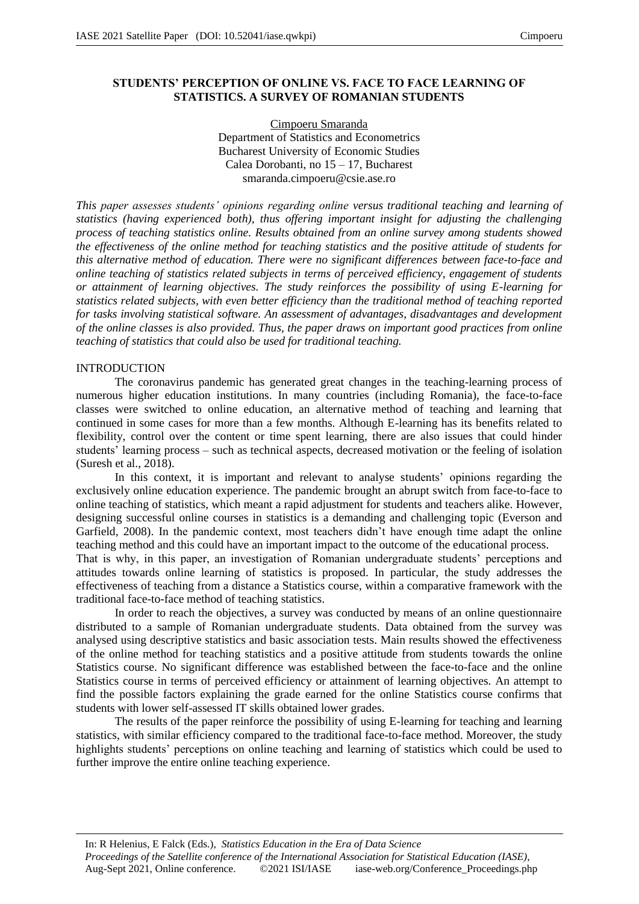## **STUDENTS' PERCEPTION OF ONLINE VS. FACE TO FACE LEARNING OF STATISTICS. A SURVEY OF ROMANIAN STUDENTS**

Cimpoeru Smaranda Department of Statistics and Econometrics Bucharest University of Economic Studies Calea Dorobanti, no 15 – 17, Bucharest smaranda.cimpoeru@csie.ase.ro

*This paper assesses students' opinions regarding online versus traditional teaching and learning of statistics (having experienced both), thus offering important insight for adjusting the challenging process of teaching statistics online. Results obtained from an online survey among students showed the effectiveness of the online method for teaching statistics and the positive attitude of students for this alternative method of education. There were no significant differences between face-to-face and online teaching of statistics related subjects in terms of perceived efficiency, engagement of students or attainment of learning objectives. The study reinforces the possibility of using E-learning for statistics related subjects, with even better efficiency than the traditional method of teaching reported for tasks involving statistical software. An assessment of advantages, disadvantages and development of the online classes is also provided. Thus, the paper draws on important good practices from online teaching of statistics that could also be used for traditional teaching.*

### INTRODUCTION

The coronavirus pandemic has generated great changes in the teaching-learning process of numerous higher education institutions. In many countries (including Romania), the face-to-face classes were switched to online education, an alternative method of teaching and learning that continued in some cases for more than a few months. Although E-learning has its benefits related to flexibility, control over the content or time spent learning, there are also issues that could hinder students' learning process – such as technical aspects, decreased motivation or the feeling of isolation (Suresh et al., 2018).

In this context, it is important and relevant to analyse students' opinions regarding the exclusively online education experience. The pandemic brought an abrupt switch from face-to-face to online teaching of statistics, which meant a rapid adjustment for students and teachers alike. However, designing successful online courses in statistics is a demanding and challenging topic (Everson and Garfield, 2008). In the pandemic context, most teachers didn't have enough time adapt the online teaching method and this could have an important impact to the outcome of the educational process.

That is why, in this paper, an investigation of Romanian undergraduate students' perceptions and attitudes towards online learning of statistics is proposed. In particular, the study addresses the effectiveness of teaching from a distance a Statistics course, within a comparative framework with the traditional face-to-face method of teaching statistics.

In order to reach the objectives, a survey was conducted by means of an online questionnaire distributed to a sample of Romanian undergraduate students. Data obtained from the survey was analysed using descriptive statistics and basic association tests. Main results showed the effectiveness of the online method for teaching statistics and a positive attitude from students towards the online Statistics course. No significant difference was established between the face-to-face and the online Statistics course in terms of perceived efficiency or attainment of learning objectives. An attempt to find the possible factors explaining the grade earned for the online Statistics course confirms that students with lower self-assessed IT skills obtained lower grades.

The results of the paper reinforce the possibility of using E-learning for teaching and learning statistics, with similar efficiency compared to the traditional face-to-face method. Moreover, the study highlights students' perceptions on online teaching and learning of statistics which could be used to further improve the entire online teaching experience.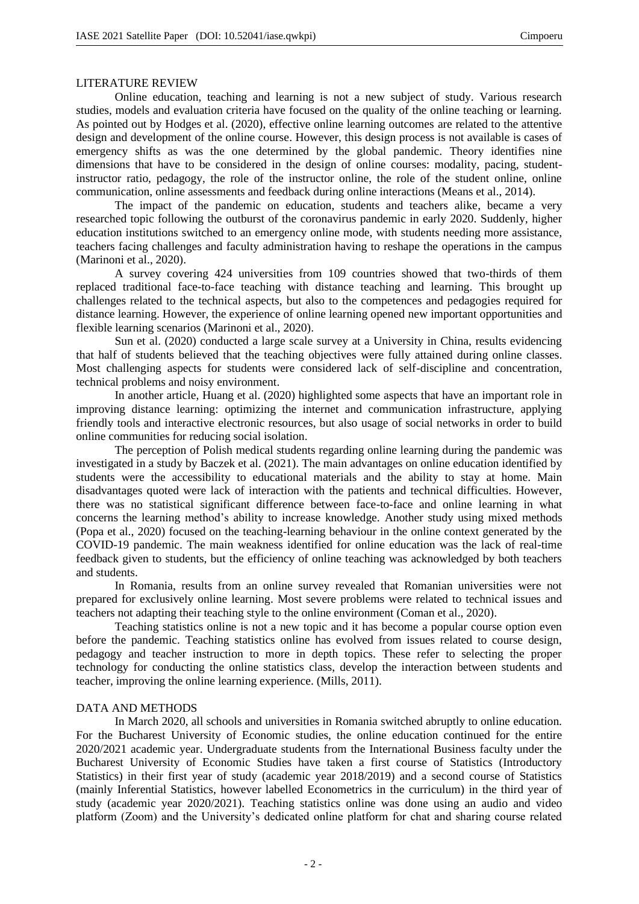# LITERATURE REVIEW

Online education, teaching and learning is not a new subject of study. Various research studies, models and evaluation criteria have focused on the quality of the online teaching or learning. As pointed out by Hodges et al. (2020), effective online learning outcomes are related to the attentive design and development of the online course. However, this design process is not available is cases of emergency shifts as was the one determined by the global pandemic. Theory identifies nine dimensions that have to be considered in the design of online courses: modality, pacing, studentinstructor ratio, pedagogy, the role of the instructor online, the role of the student online, online communication, online assessments and feedback during online interactions (Means et al., 2014).

The impact of the pandemic on education, students and teachers alike, became a very researched topic following the outburst of the coronavirus pandemic in early 2020. Suddenly, higher education institutions switched to an emergency online mode, with students needing more assistance, teachers facing challenges and faculty administration having to reshape the operations in the campus (Marinoni et al., 2020).

A survey covering 424 universities from 109 countries showed that two-thirds of them replaced traditional face-to-face teaching with distance teaching and learning. This brought up challenges related to the technical aspects, but also to the competences and pedagogies required for distance learning. However, the experience of online learning opened new important opportunities and flexible learning scenarios (Marinoni et al., 2020).

Sun et al. (2020) conducted a large scale survey at a University in China, results evidencing that half of students believed that the teaching objectives were fully attained during online classes. Most challenging aspects for students were considered lack of self-discipline and concentration, technical problems and noisy environment.

In another article, Huang et al. (2020) highlighted some aspects that have an important role in improving distance learning: optimizing the internet and communication infrastructure, applying friendly tools and interactive electronic resources, but also usage of social networks in order to build online communities for reducing social isolation.

The perception of Polish medical students regarding online learning during the pandemic was investigated in a study by Baczek et al. (2021). The main advantages on online education identified by students were the accessibility to educational materials and the ability to stay at home. Main disadvantages quoted were lack of interaction with the patients and technical difficulties. However, there was no statistical significant difference between face-to-face and online learning in what concerns the learning method's ability to increase knowledge. Another study using mixed methods (Popa et al., 2020) focused on the teaching-learning behaviour in the online context generated by the COVID-19 pandemic. The main weakness identified for online education was the lack of real-time feedback given to students, but the efficiency of online teaching was acknowledged by both teachers and students.

In Romania, results from an online survey revealed that Romanian universities were not prepared for exclusively online learning. Most severe problems were related to technical issues and teachers not adapting their teaching style to the online environment (Coman et al., 2020).

Teaching statistics online is not a new topic and it has become a popular course option even before the pandemic. Teaching statistics online has evolved from issues related to course design, pedagogy and teacher instruction to more in depth topics. These refer to selecting the proper technology for conducting the online statistics class, develop the interaction between students and teacher, improving the online learning experience. (Mills, 2011).

### DATA AND METHODS

In March 2020, all schools and universities in Romania switched abruptly to online education. For the Bucharest University of Economic studies, the online education continued for the entire 2020/2021 academic year. Undergraduate students from the International Business faculty under the Bucharest University of Economic Studies have taken a first course of Statistics (Introductory Statistics) in their first year of study (academic year 2018/2019) and a second course of Statistics (mainly Inferential Statistics, however labelled Econometrics in the curriculum) in the third year of study (academic year 2020/2021). Teaching statistics online was done using an audio and video platform (Zoom) and the University's dedicated online platform for chat and sharing course related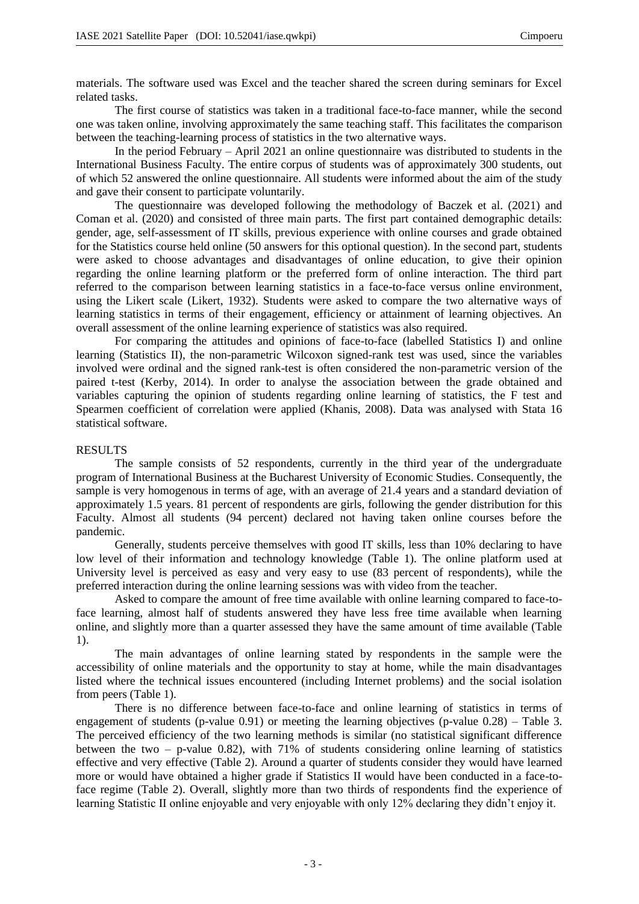materials. The software used was Excel and the teacher shared the screen during seminars for Excel related tasks.

The first course of statistics was taken in a traditional face-to-face manner, while the second one was taken online, involving approximately the same teaching staff. This facilitates the comparison between the teaching-learning process of statistics in the two alternative ways.

In the period February – April 2021 an online questionnaire was distributed to students in the International Business Faculty. The entire corpus of students was of approximately 300 students, out of which 52 answered the online questionnaire. All students were informed about the aim of the study and gave their consent to participate voluntarily.

The questionnaire was developed following the methodology of Baczek et al. (2021) and Coman et al. (2020) and consisted of three main parts. The first part contained demographic details: gender, age, self-assessment of IT skills, previous experience with online courses and grade obtained for the Statistics course held online (50 answers for this optional question). In the second part, students were asked to choose advantages and disadvantages of online education, to give their opinion regarding the online learning platform or the preferred form of online interaction. The third part referred to the comparison between learning statistics in a face-to-face versus online environment, using the Likert scale (Likert, 1932). Students were asked to compare the two alternative ways of learning statistics in terms of their engagement, efficiency or attainment of learning objectives. An overall assessment of the online learning experience of statistics was also required.

For comparing the attitudes and opinions of face-to-face (labelled Statistics I) and online learning (Statistics II), the non-parametric Wilcoxon signed-rank test was used, since the variables involved were ordinal and the signed rank-test is often considered the non-parametric version of the paired t-test (Kerby, 2014). In order to analyse the association between the grade obtained and variables capturing the opinion of students regarding online learning of statistics, the F test and Spearmen coefficient of correlation were applied (Khanis, 2008). Data was analysed with Stata 16 statistical software.

## RESULTS

The sample consists of 52 respondents, currently in the third year of the undergraduate program of International Business at the Bucharest University of Economic Studies. Consequently, the sample is very homogenous in terms of age, with an average of 21.4 years and a standard deviation of approximately 1.5 years. 81 percent of respondents are girls, following the gender distribution for this Faculty. Almost all students (94 percent) declared not having taken online courses before the pandemic.

Generally, students perceive themselves with good IT skills, less than 10% declaring to have low level of their information and technology knowledge (Table 1). The online platform used at University level is perceived as easy and very easy to use (83 percent of respondents), while the preferred interaction during the online learning sessions was with video from the teacher.

Asked to compare the amount of free time available with online learning compared to face-toface learning, almost half of students answered they have less free time available when learning online, and slightly more than a quarter assessed they have the same amount of time available (Table 1).

The main advantages of online learning stated by respondents in the sample were the accessibility of online materials and the opportunity to stay at home, while the main disadvantages listed where the technical issues encountered (including Internet problems) and the social isolation from peers (Table 1).

There is no difference between face-to-face and online learning of statistics in terms of engagement of students (p-value 0.91) or meeting the learning objectives (p-value 0.28) – Table 3. The perceived efficiency of the two learning methods is similar (no statistical significant difference between the two – p-value 0.82), with  $71\%$  of students considering online learning of statistics effective and very effective (Table 2). Around a quarter of students consider they would have learned more or would have obtained a higher grade if Statistics II would have been conducted in a face-toface regime (Table 2). Overall, slightly more than two thirds of respondents find the experience of learning Statistic II online enjoyable and very enjoyable with only 12% declaring they didn't enjoy it.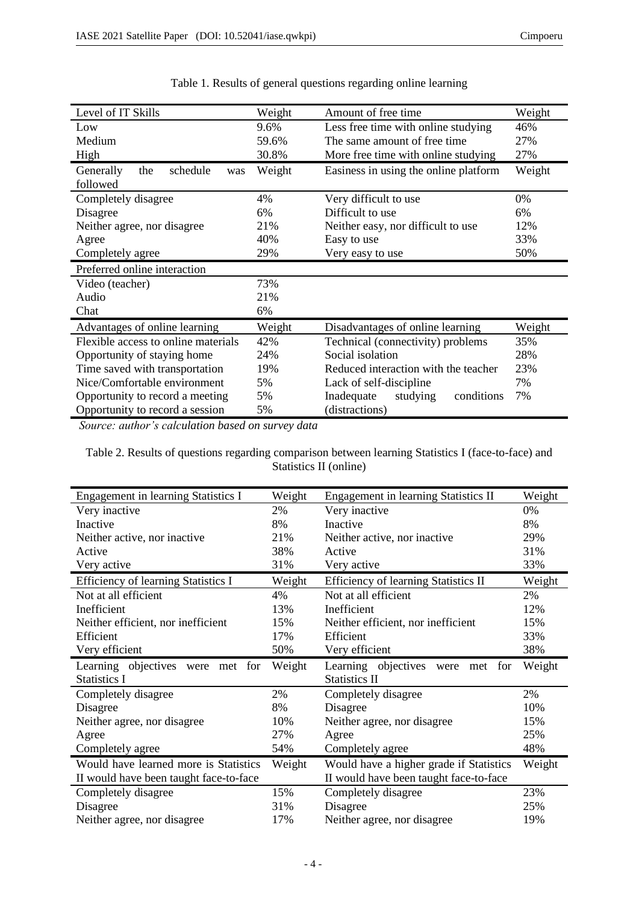| Level of IT Skills                  | Weight | Amount of free time                         | Weight |
|-------------------------------------|--------|---------------------------------------------|--------|
| Low                                 | 9.6%   | Less free time with online studying         | 46%    |
| Medium                              | 59.6%  | The same amount of free time                | 27%    |
| High                                | 30.8%  | More free time with online studying         | 27%    |
| schedule<br>Generally<br>the<br>was | Weight | Easiness in using the online platform       | Weight |
| followed                            |        |                                             |        |
| Completely disagree                 | 4%     | Very difficult to use                       | 0%     |
| Disagree                            | 6%     | Difficult to use                            | 6%     |
| Neither agree, nor disagree         | 21%    | Neither easy, nor difficult to use          | 12%    |
| Agree                               | 40%    | Easy to use                                 | 33%    |
| Completely agree                    | 29%    | Very easy to use                            | 50%    |
| Preferred online interaction        |        |                                             |        |
| Video (teacher)                     | 73%    |                                             |        |
| Audio                               | 21%    |                                             |        |
| Chat                                | 6%     |                                             |        |
| Advantages of online learning       | Weight | Disadvantages of online learning            | Weight |
| Flexible access to online materials | 42%    | Technical (connectivity) problems           | 35%    |
| Opportunity of staying home         | 24%    | Social isolation                            | 28%    |
| Time saved with transportation      | 19%    | Reduced interaction with the teacher<br>23% |        |
| Nice/Comfortable environment        | 5%     | 7%<br>Lack of self-discipline               |        |
| Opportunity to record a meeting     | 5%     | 7%<br>Inadequate<br>conditions<br>studying  |        |
| Opportunity to record a session     | 5%     | (distractions)                              |        |

| Table 1. Results of general questions regarding online learning |  |  |  |
|-----------------------------------------------------------------|--|--|--|

*Source: author's calculation based on survey data*

Table 2. Results of questions regarding comparison between learning Statistics I (face-to-face) and Statistics II (online)

| Engagement in learning Statistics I    | Weight | <b>Engagement in learning Statistics II</b> | Weight |
|----------------------------------------|--------|---------------------------------------------|--------|
| Very inactive                          | 2%     | Very inactive                               | 0%     |
| Inactive                               | 8%     | Inactive                                    | 8%     |
| Neither active, nor inactive           | 21%    | Neither active, nor inactive                | 29%    |
| Active                                 | 38%    | Active                                      | 31%    |
| Very active                            | 31%    | Very active                                 | 33%    |
| Efficiency of learning Statistics I    | Weight | Efficiency of learning Statistics II        | Weight |
| Not at all efficient                   | 4%     | Not at all efficient                        | 2%     |
| Inefficient                            | 13%    | Inefficient                                 | 12%    |
| Neither efficient, nor inefficient     | 15%    | Neither efficient, nor inefficient          | 15%    |
| Efficient                              | 17%    | Efficient                                   | 33%    |
| Very efficient                         | 50%    | Very efficient                              | 38%    |
|                                        |        |                                             |        |
| Learning objectives were<br>for<br>met | Weight | Learning objectives were<br>for<br>met      | Weight |
| <b>Statistics I</b>                    |        | <b>Statistics II</b>                        |        |
| Completely disagree                    | 2%     | Completely disagree                         | 2%     |
| Disagree                               | 8%     | Disagree                                    | 10%    |
| Neither agree, nor disagree            | 10%    | Neither agree, nor disagree                 | 15%    |
| Agree                                  | 27%    | Agree                                       | 25%    |
| Completely agree                       | 54%    | Completely agree                            | 48%    |
| Would have learned more is Statistics  | Weight | Would have a higher grade if Statistics     | Weight |
| II would have been taught face-to-face |        | II would have been taught face-to-face      |        |
| Completely disagree                    | 15%    | Completely disagree                         | 23%    |
| Disagree                               | 31%    | Disagree                                    | 25%    |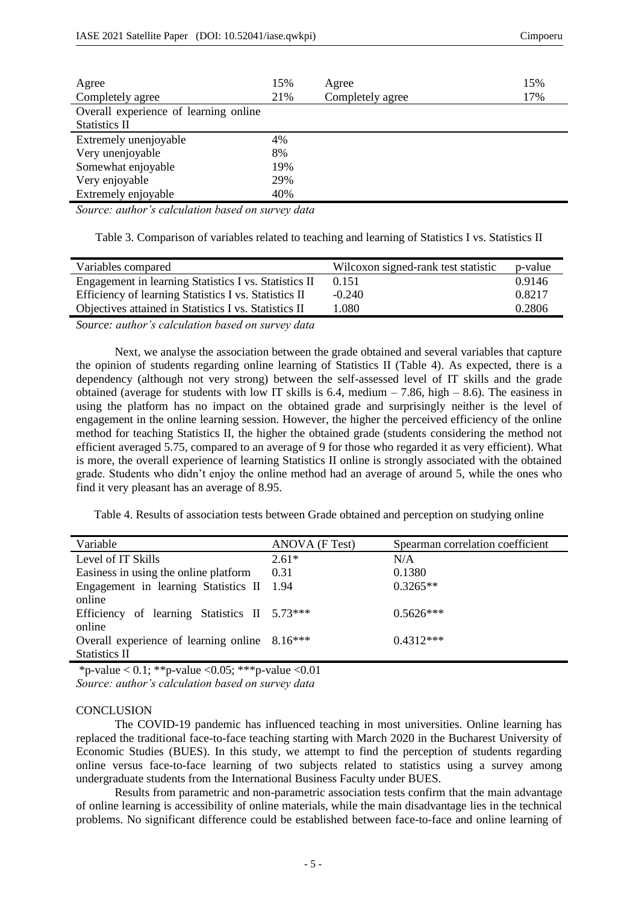| Agree                                 | 15% | Agree            | 15% |
|---------------------------------------|-----|------------------|-----|
| Completely agree                      | 21% | Completely agree | 17% |
| Overall experience of learning online |     |                  |     |
| <b>Statistics II</b>                  |     |                  |     |
| Extremely unenjoyable                 | 4%  |                  |     |
| Very unenjoyable                      | 8%  |                  |     |
| Somewhat enjoyable                    | 19% |                  |     |
| Very enjoyable                        | 29% |                  |     |
| Extremely enjoyable                   | 40% |                  |     |

*Source: author's calculation based on survey data*

Table 3. Comparison of variables related to teaching and learning of Statistics I vs. Statistics II

| Variables compared                                    | Wilcoxon signed-rank test statistic | p-value |
|-------------------------------------------------------|-------------------------------------|---------|
| Engagement in learning Statistics I vs. Statistics II | 0.151                               | 0.9146  |
| Efficiency of learning Statistics I vs. Statistics II | $-0.240$                            | 0.8217  |
| Objectives attained in Statistics I vs. Statistics II | 1.080                               | 0.2806  |

*Source: author's calculation based on survey data*

Next, we analyse the association between the grade obtained and several variables that capture the opinion of students regarding online learning of Statistics II (Table 4). As expected, there is a dependency (although not very strong) between the self-assessed level of IT skills and the grade obtained (average for students with low IT skills is 6.4, medium  $-7.86$ , high  $-8.6$ ). The easiness in using the platform has no impact on the obtained grade and surprisingly neither is the level of engagement in the online learning session. However, the higher the perceived efficiency of the online method for teaching Statistics II, the higher the obtained grade (students considering the method not efficient averaged 5.75, compared to an average of 9 for those who regarded it as very efficient). What is more, the overall experience of learning Statistics II online is strongly associated with the obtained grade. Students who didn't enjoy the online method had an average of around 5, while the ones who find it very pleasant has an average of 8.95.

Table 4. Results of association tests between Grade obtained and perception on studying online

| Variable                                      | ANOVA (F Test) | Spearman correlation coefficient |
|-----------------------------------------------|----------------|----------------------------------|
| Level of IT Skills                            | $2.61*$        | N/A                              |
| Easiness in using the online platform         | 0.31           | 0.1380                           |
| Engagement in learning Statistics II 1.94     |                | $0.3265**$                       |
| online                                        |                |                                  |
| Efficiency of learning Statistics II 5.73***  |                | $0.5626***$                      |
| online                                        |                |                                  |
| Overall experience of learning online 8.16*** |                | $0.4312***$                      |
| <b>Statistics II</b>                          |                |                                  |

\*p-value  $\leq 0.1$ ; \*\*p-value  $\leq 0.05$ ; \*\*\*p-value  $\leq 0.01$ *Source: author's calculation based on survey data*

### **CONCLUSION**

The COVID-19 pandemic has influenced teaching in most universities. Online learning has replaced the traditional face-to-face teaching starting with March 2020 in the Bucharest University of Economic Studies (BUES). In this study, we attempt to find the perception of students regarding online versus face-to-face learning of two subjects related to statistics using a survey among undergraduate students from the International Business Faculty under BUES.

Results from parametric and non-parametric association tests confirm that the main advantage of online learning is accessibility of online materials, while the main disadvantage lies in the technical problems. No significant difference could be established between face-to-face and online learning of